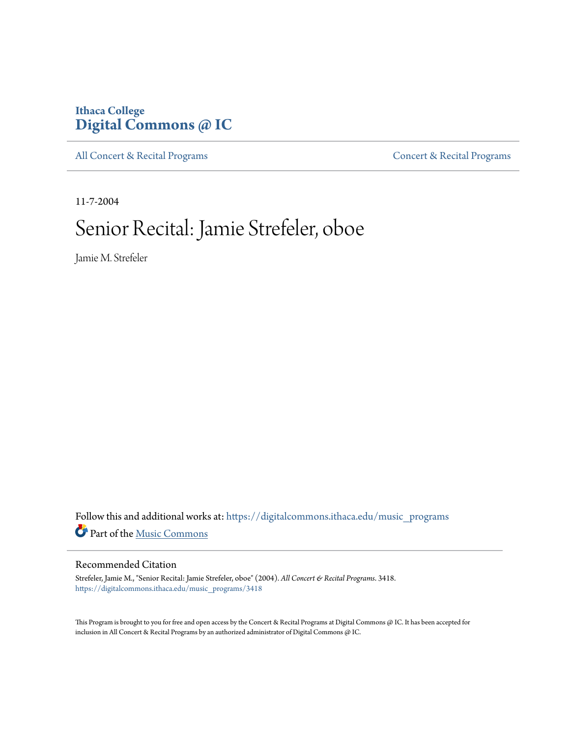## **Ithaca College [Digital Commons @ IC](https://digitalcommons.ithaca.edu?utm_source=digitalcommons.ithaca.edu%2Fmusic_programs%2F3418&utm_medium=PDF&utm_campaign=PDFCoverPages)**

[All Concert & Recital Programs](https://digitalcommons.ithaca.edu/music_programs?utm_source=digitalcommons.ithaca.edu%2Fmusic_programs%2F3418&utm_medium=PDF&utm_campaign=PDFCoverPages) **[Concert & Recital Programs](https://digitalcommons.ithaca.edu/som_programs?utm_source=digitalcommons.ithaca.edu%2Fmusic_programs%2F3418&utm_medium=PDF&utm_campaign=PDFCoverPages)** 

11-7-2004

# Senior Recital: Jamie Strefeler, oboe

Jamie M. Strefeler

Follow this and additional works at: [https://digitalcommons.ithaca.edu/music\\_programs](https://digitalcommons.ithaca.edu/music_programs?utm_source=digitalcommons.ithaca.edu%2Fmusic_programs%2F3418&utm_medium=PDF&utm_campaign=PDFCoverPages) Part of the [Music Commons](http://network.bepress.com/hgg/discipline/518?utm_source=digitalcommons.ithaca.edu%2Fmusic_programs%2F3418&utm_medium=PDF&utm_campaign=PDFCoverPages)

#### Recommended Citation

Strefeler, Jamie M., "Senior Recital: Jamie Strefeler, oboe" (2004). *All Concert & Recital Programs*. 3418. [https://digitalcommons.ithaca.edu/music\\_programs/3418](https://digitalcommons.ithaca.edu/music_programs/3418?utm_source=digitalcommons.ithaca.edu%2Fmusic_programs%2F3418&utm_medium=PDF&utm_campaign=PDFCoverPages)

This Program is brought to you for free and open access by the Concert & Recital Programs at Digital Commons @ IC. It has been accepted for inclusion in All Concert & Recital Programs by an authorized administrator of Digital Commons @ IC.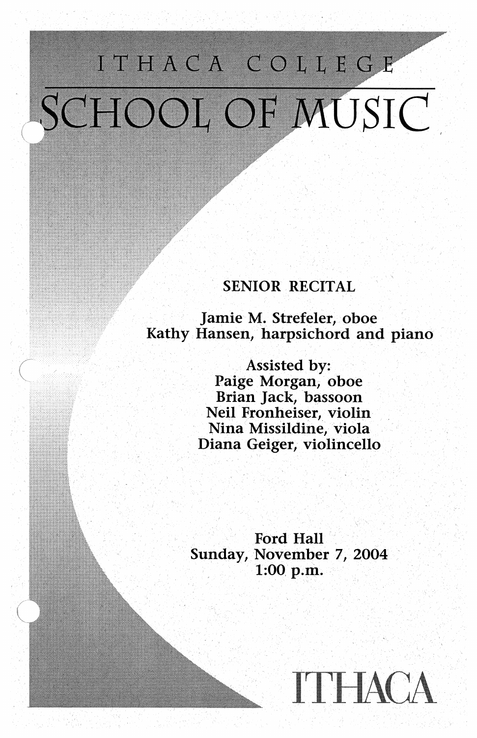# ITHACA COLLEGE SCHOOL OF MUSIC

### **SENIOR RECITAL**

Jamie M. Strefeler, oboe Kathy Hansen, harpsichord and piano

> Assisted by: Paige Morgan, oboe Brian Jack, bassoon Neil Fronheiser, violin Nina Missildine, viola Diana Geiger, violincello

**Ford Hall** Sunday, November 7, 2004 1:00 p.m.